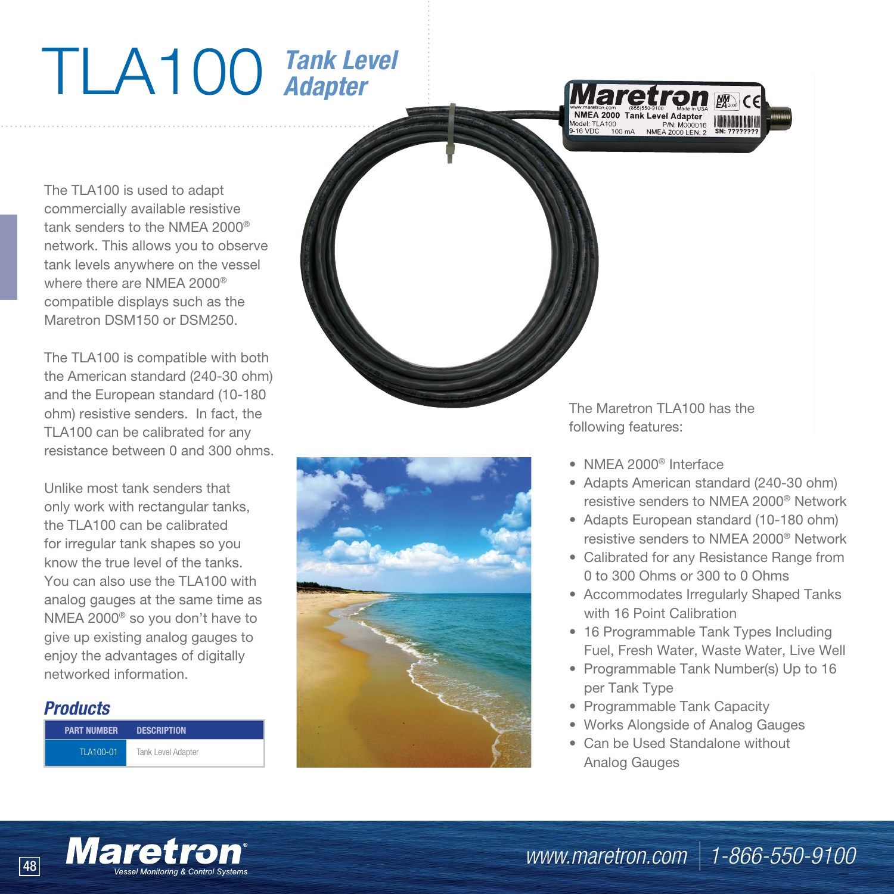## TLA100 *Tank Level Adapter*



The TLA100 is used to adapt commercially available resistive tank senders to the NMEA 2000® network. This allows you to observe tank levels anywhere on the vessel where there are NMEA 2000® compatible displays such as the Maretron DSM150 or DSM250.

The TLA100 is compatible with both the American standard (240-30 ohm) and the European standard (10-180 ohm) resistive senders. In fact, the TLA100 can be calibrated for any resistance between 0 and 300 ohms.

Unlike most tank senders that only work with rectangular tanks, the TLA100 can be calibrated for irregular tank shapes so you know the true level of the tanks. You can also use the TLA100 with analog gauges at the same time as NMEA 2000® so you don't have to give up existing analog gauges to enjoy the advantages of digitally networked information.

## *Products*

| <b>PART NUMBER</b> | <b>DESCRIPTION</b> |
|--------------------|--------------------|
| TI A100-01         | Tank Level Adapter |





The Maretron TLA100 has the following features:

- NMEA 2000® Interface
- Adapts American standard (240-30 ohm) resistive senders to NMEA 2000® Network
- Adapts European standard (10-180 ohm) resistive senders to NMEA 2000® Network
- Calibrated for any Resistance Range from 0 to 300 Ohms or 300 to 0 Ohms
- Accommodates Irregularly Shaped Tanks with 16 Point Calibration
- 16 Programmable Tank Types Including Fuel, Fresh Water, Waste Water, Live Well
- Programmable Tank Number(s) Up to 16 per Tank Type
- Programmable Tank Capacity
- Works Alongside of Analog Gauges
- Can be Used Standalone without Analog Gauges